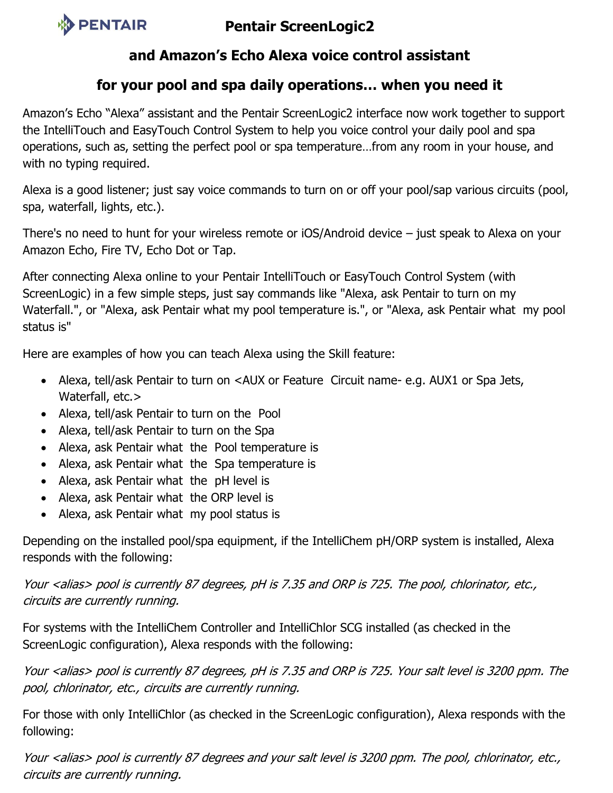

## **Pentair ScreenLogic2**

## **and Amazon's Echo Alexa voice control assistant**

## **for your pool and spa daily operations… when you need it**

Amazon's Echo "Alexa" assistant and the Pentair ScreenLogic2 interface now work together to support the IntelliTouch and EasyTouch Control System to help you voice control your daily pool and spa operations, such as, setting the perfect pool or spa temperature…from any room in your house, and with no typing required.

Alexa is a good listener; just say voice commands to turn on or off your pool/sap various circuits (pool, spa, waterfall, lights, etc.).

There's no need to hunt for your wireless remote or iOS/Android device – just speak to Alexa on your Amazon Echo, Fire TV, Echo Dot or Tap.

After connecting Alexa online to your Pentair IntelliTouch or EasyTouch Control System (with ScreenLogic) in a few simple steps, just say commands like "Alexa, ask Pentair to turn on my Waterfall.", or "Alexa, ask Pentair what my pool temperature is.", or "Alexa, ask Pentair what my pool status is"

Here are examples of how you can teach Alexa using the Skill feature:

- Alexa, tell/ask Pentair to turn on <AUX or Feature Circuit name- e.g. AUX1 or Spa Jets, Waterfall, etc.>
- Alexa, tell/ask Pentair to turn on the Pool
- Alexa, tell/ask Pentair to turn on the Spa
- Alexa, ask Pentair what the Pool temperature is
- Alexa, ask Pentair what the Spa temperature is
- Alexa, ask Pentair what the pH level is
- Alexa, ask Pentair what the ORP level is
- Alexa, ask Pentair what my pool status is

Depending on the installed pool/spa equipment, if the IntelliChem pH/ORP system is installed, Alexa responds with the following:

Your <alias> pool is currently 87 degrees, pH is 7.35 and ORP is 725. The pool, chlorinator, etc., circuits are currently running.

For systems with the IntelliChem Controller and IntelliChlor SCG installed (as checked in the ScreenLogic configuration), Alexa responds with the following:

Your <alias> pool is currently 87 degrees, pH is 7.35 and ORP is 725. Your salt level is 3200 ppm. The pool, chlorinator, etc., circuits are currently running.

For those with only IntelliChlor (as checked in the ScreenLogic configuration), Alexa responds with the following:

Your <alias> pool is currently 87 degrees and your salt level is 3200 ppm. The pool, chlorinator, etc., circuits are currently running.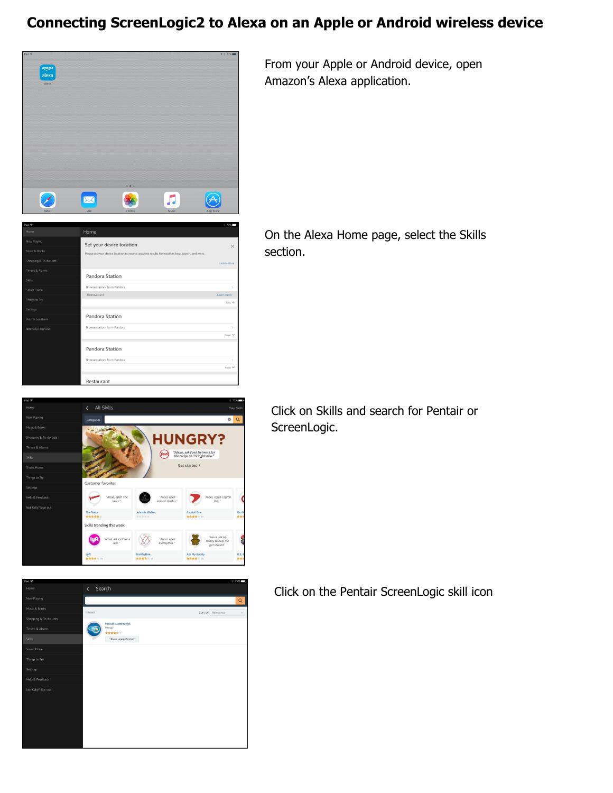## **Connecting ScreenLogic2 to Alexa on an Apple or Android wireless device**



From your Apple or Android device, open Amazon's Alexa application.

Home Set your device location Pandora Station -<br>Browse stations from Pandor Less Pandora Station  $\overline{M_{2100}}$ Pandora Station Restaurant

 $\circ$   $\circ$ 

**HUNGRY?** "Alexa, ask Food Network for<br>the recipe on TV right now."

Get started ·

Ask My Bu<br>\* \* \* \*

 $(food)$ 

On the Alexa Home page, select the Skills section.

Click on Skills and search for Pentair or ScreenLogic.



 $\infty$ 

**BioRhyth** 

The Voice<br>\*\*\*\*\* Skills trending this wee  $\bullet$ 

Click on the Pentair ScreenLogic skill icon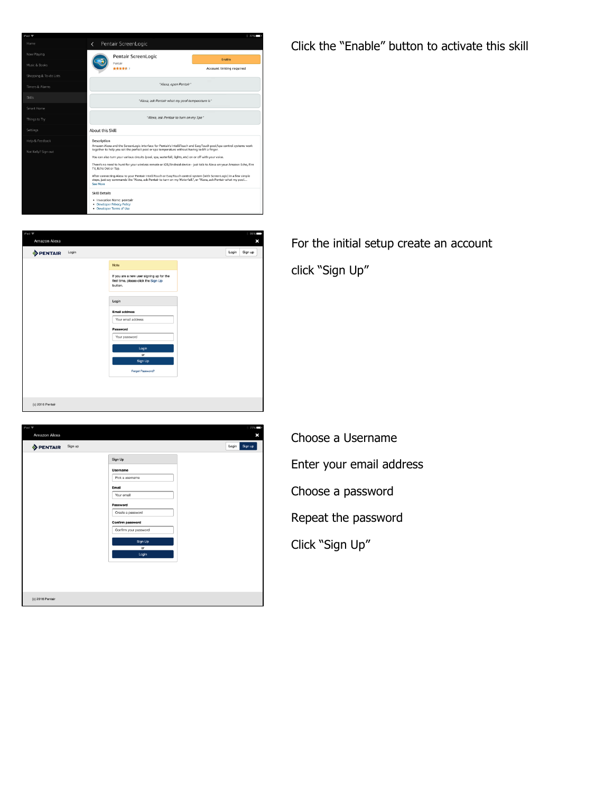

.<br>Amazon Alexa  $\mathbf{x}$ Login Sign up **PENTAIR** Login Note If you are a new user signing up for the<br>first time, please click the Sign Up<br>button. Login **Email address** (c) 2016 Pentair

| Pad <sub>®</sub><br>Amazon Alexa |                       | 77% <b>C</b><br>× |
|----------------------------------|-----------------------|-------------------|
| <b>PENTAIR</b> Sign up           |                       | Sign up<br>Login  |
|                                  | Sign Up               |                   |
|                                  | Username              |                   |
|                                  | Pick a username       |                   |
|                                  | Email                 |                   |
|                                  | Your email            |                   |
|                                  | Password              |                   |
|                                  | Create a password     |                   |
|                                  | Confirm password      |                   |
|                                  | Confirm your password |                   |
|                                  | Sign Up               |                   |
|                                  | or                    |                   |
|                                  | Login                 |                   |
|                                  |                       |                   |
|                                  |                       |                   |
|                                  |                       |                   |
|                                  |                       |                   |
| (c) 2016 Pentair                 |                       |                   |

Click the "Enable" button to activate this skill

For the initial setup create an account

click "Sign Up"

Choose a Username Enter your email address Choose a password Repeat the password Click "Sign Up"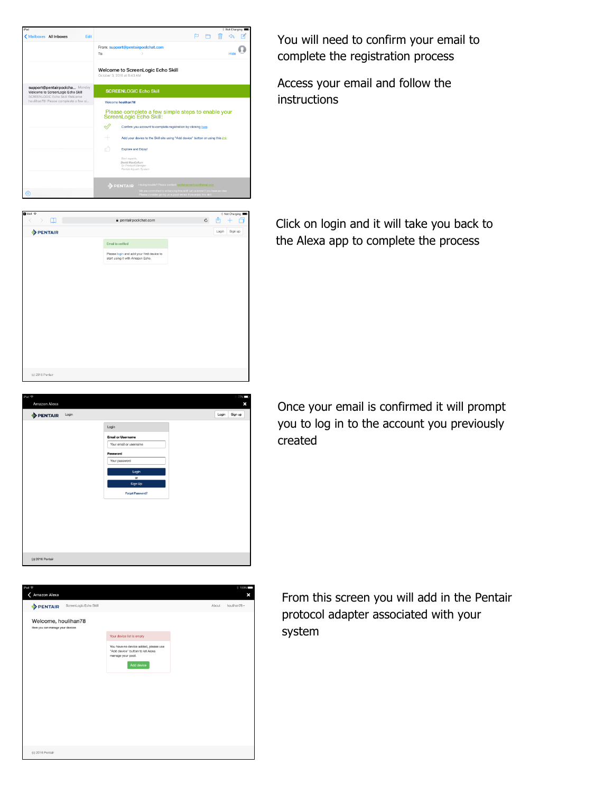

 $\hat{\mathbf{a}}$  pentairpoolchat.com

Email is verified Please login and add your first device to<br>start using it with Amazon Echo.  $c \uparrow + \uparrow$ 

Login

 $\mathfrak m$ 

**DENTAIR** 

(c) 2016 Pentai

(c) 2016 Pentair

You will need to confirm your email to complete the registration process

Access your email and follow the instructions

Click on login and it will take you back to the Alexa app to complete the process

Once your email is confirmed it will prompt you to log in to the account you previously created

(c) 2016 Pentai  $\ell$  Amazon Alexa PENTAIR ScreenLogic Echo Skill Welcome, houlihan78 Your device list is empty ou have no device added, pleas<br>idd device" button to let Alexa<br>anage your pool. Add device

From this screen you will add in the Pentair protocol adapter associated with your system

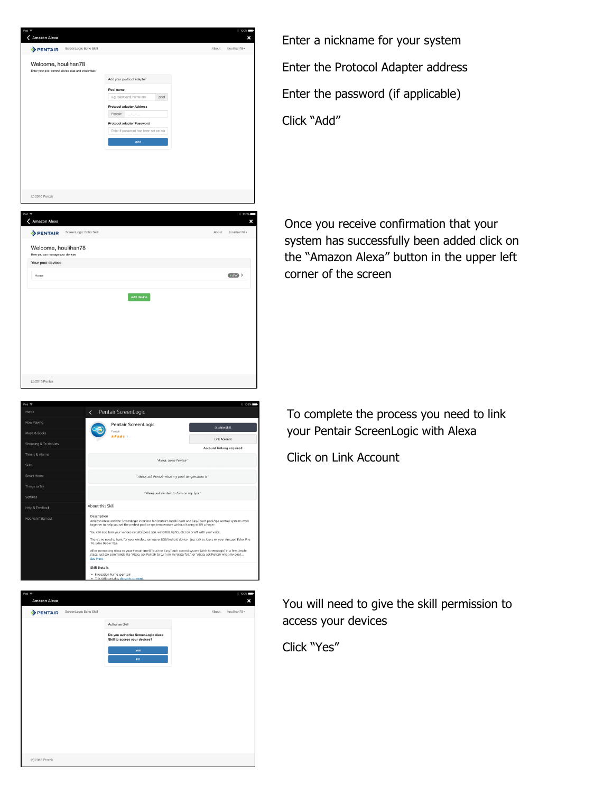| iPad 令<br>Amazon Alexa<br><                                                 |                                       |       | % 100%<br>×  |
|-----------------------------------------------------------------------------|---------------------------------------|-------|--------------|
| ScreenLogic Echo Skill<br>PENTAIR                                           |                                       | About | houlihan78 - |
| Welcome, houlihan78<br>Enter your pool control device alias and credentials |                                       |       |              |
|                                                                             | Add your protocol adapter             |       |              |
|                                                                             | Pool name                             |       |              |
|                                                                             | e.g. backyard, home etc<br>pool       |       |              |
|                                                                             | <b>Protocol adapter Address</b>       |       |              |
|                                                                             | Pentair:<br><b>STATISTICS</b>         |       |              |
|                                                                             | Protocol adapter Password             |       |              |
|                                                                             | Enter if password has been set on ada |       |              |
|                                                                             | Add                                   |       |              |
|                                                                             |                                       |       |              |
|                                                                             |                                       |       |              |
|                                                                             |                                       |       |              |
|                                                                             |                                       |       |              |
|                                                                             |                                       |       |              |
|                                                                             |                                       |       |              |

 $+80$ 

← Amazon Alexa **PENTAIR** Welcome, houlihan78 Your pool devices

Enter a nickname for your system Enter the Protocol Adapter address Enter the password (if applicable) Click "Add"

Once you receive confirmation that your system has successfully been added click on the "Amazon Alexa" button in the upper left corner of the screen

| (c) 2016 Pentair       |                                                                                                                                                                                                                                                                                                                                                                                                                                                                                                                                                                                                                                                                                                                                                                            |                          |
|------------------------|----------------------------------------------------------------------------------------------------------------------------------------------------------------------------------------------------------------------------------------------------------------------------------------------------------------------------------------------------------------------------------------------------------------------------------------------------------------------------------------------------------------------------------------------------------------------------------------------------------------------------------------------------------------------------------------------------------------------------------------------------------------------------|--------------------------|
| iPad 全                 |                                                                                                                                                                                                                                                                                                                                                                                                                                                                                                                                                                                                                                                                                                                                                                            | $* 100%$                 |
| Home                   | Pentair ScreenLogic<br>$\left\langle \right\rangle$                                                                                                                                                                                                                                                                                                                                                                                                                                                                                                                                                                                                                                                                                                                        |                          |
| Now Playing            | Pentair ScreenLogic                                                                                                                                                                                                                                                                                                                                                                                                                                                                                                                                                                                                                                                                                                                                                        | <b>Disable Skill</b>     |
| Music & Books          | Pentair<br>******                                                                                                                                                                                                                                                                                                                                                                                                                                                                                                                                                                                                                                                                                                                                                          | Link Account             |
| Shopping & To-do Lists |                                                                                                                                                                                                                                                                                                                                                                                                                                                                                                                                                                                                                                                                                                                                                                            | Account linking required |
| Timers & Alarms        | "Alexa, open Pentair"                                                                                                                                                                                                                                                                                                                                                                                                                                                                                                                                                                                                                                                                                                                                                      |                          |
| Skills                 |                                                                                                                                                                                                                                                                                                                                                                                                                                                                                                                                                                                                                                                                                                                                                                            |                          |
| Smart Home             | "Alexa, ask Pentair what my pool temperature is"                                                                                                                                                                                                                                                                                                                                                                                                                                                                                                                                                                                                                                                                                                                           |                          |
| Things to Try          | "Alexa, ask Pentair to turn on my Spa"                                                                                                                                                                                                                                                                                                                                                                                                                                                                                                                                                                                                                                                                                                                                     |                          |
| Settings               |                                                                                                                                                                                                                                                                                                                                                                                                                                                                                                                                                                                                                                                                                                                                                                            |                          |
| Help & Feedback        | About this Skill                                                                                                                                                                                                                                                                                                                                                                                                                                                                                                                                                                                                                                                                                                                                                           |                          |
| Not Kelly? Sign out    | Description<br>Amazon Alexa and the ScreenLogic interface for Pentair's IntelliTouch and EasyTouch pool/spa control systems work<br>together to help you set the perfect pool or spa temperature without having to lift a finger.<br>You can also turn your various circuits (pool, spa, waterfall, lights, etc) on or off with your voice.<br>There's no need to hunt for your wireless remote or iOS/Android device - just talk to Alexa on your Amazon Echo, Fire<br>TV, Echo Dot or Tap.<br>After connecting Alexa to your Pentair IntelliTouch or EasyTouch control system (with ScreenLogic) in a few simple<br>steps, just say commands like "Alexa, ask Pentair to turn on my Waterfall.", or "Alexa, ask Pentair what my pool<br>See More<br><b>Skill Details</b> |                          |

Add device

| Amazon Alexa<br>ScreenLogic Echo Skill<br><b>PENTAIR</b><br>Authorise Skill<br>Do you authorise ScreenLogic Alexa<br>Skill to access your devices?<br>yes<br>no | About | ×<br>houlihan78 - |
|-----------------------------------------------------------------------------------------------------------------------------------------------------------------|-------|-------------------|
|                                                                                                                                                                 |       |                   |
|                                                                                                                                                                 |       |                   |
|                                                                                                                                                                 |       |                   |
|                                                                                                                                                                 |       |                   |
|                                                                                                                                                                 |       |                   |
|                                                                                                                                                                 |       |                   |
|                                                                                                                                                                 |       |                   |
|                                                                                                                                                                 |       |                   |
|                                                                                                                                                                 |       |                   |
|                                                                                                                                                                 |       |                   |
|                                                                                                                                                                 |       |                   |
|                                                                                                                                                                 |       |                   |
|                                                                                                                                                                 |       |                   |
| (c) 2016 Pentair                                                                                                                                                |       |                   |

To complete the process you need to link your Pentair ScreenLogic with Alexa

Click on Link Account

You will need to give the skill permission to access your devices

Click "Yes"